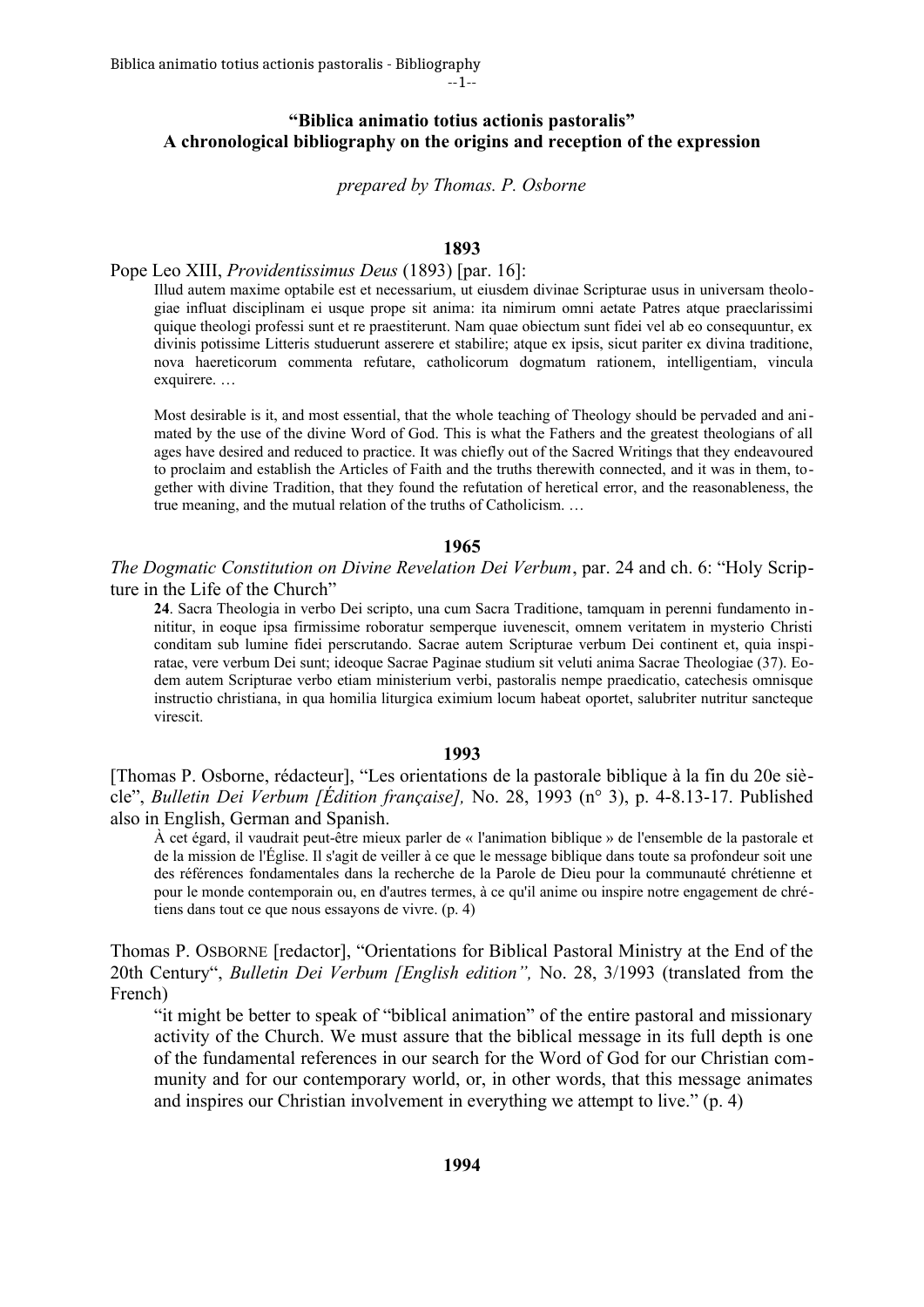--1--

# **"Biblica animatio totius actionis pastoralis" A chronological bibliography on the origins and reception of the expression**

*prepared by Thomas. P. Osborne*

# **1893**

### Pope Leo XIII, *Providentissimus Deus* (1893) [par. 16]:

Illud autem maxime optabile est et necessarium, ut eiusdem divinae Scripturae usus in universam theologiae influat disciplinam ei usque prope sit anima: ita nimirum omni aetate Patres atque praeclarissimi quique theologi professi sunt et re praestiterunt. Nam quae obiectum sunt fidei vel ab eo consequuntur, ex divinis potissime Litteris studuerunt asserere et stabilire; atque ex ipsis, sicut pariter ex divina traditione, nova haereticorum commenta refutare, catholicorum dogmatum rationem, intelligentiam, vincula exquirere. …

Most desirable is it, and most essential, that the whole teaching of Theology should be pervaded and animated by the use of the divine Word of God. This is what the Fathers and the greatest theologians of all ages have desired and reduced to practice. It was chiefly out of the Sacred Writings that they endeavoured to proclaim and establish the Articles of Faith and the truths therewith connected, and it was in them, together with divine Tradition, that they found the refutation of heretical error, and the reasonableness, the true meaning, and the mutual relation of the truths of Catholicism. …

#### **1965**

*The Dogmatic Constitution on Divine Revelation Dei Verbum*, par. 24 and ch. 6: "Holy Scripture in the Life of the Church"

**24**. Sacra Theologia in verbo Dei scripto, una cum Sacra Traditione, tamquam in perenni fundamento innititur, in eoque ipsa firmissime roboratur semperque iuvenescit, omnem veritatem in mysterio Christi conditam sub lumine fidei perscrutando. Sacrae autem Scripturae verbum Dei continent et, quia inspiratae, vere verbum Dei sunt; ideoque Sacrae Paginae studium sit veluti anima Sacrae Theologiae (37). Eodem autem Scripturae verbo etiam ministerium verbi, pastoralis nempe praedicatio, catechesis omnisque instructio christiana, in qua homilia liturgica eximium locum habeat oportet, salubriter nutritur sancteque virescit.

#### **1993**

[Thomas P. Osborne, rédacteur], "Les orientations de la pastorale biblique à la fin du 20e siècle", *Bulletin Dei Verbum [Édition française],* No. 28, 1993 (n° 3), p. 4-8.13-17. Published also in English, German and Spanish.

À cet égard, il vaudrait peut-être mieux parler de « l'animation biblique » de l'ensemble de la pastorale et de la mission de l'Église. Il s'agit de veiller à ce que le message biblique dans toute sa profondeur soit une des références fondamentales dans la recherche de la Parole de Dieu pour la communauté chrétienne et pour le monde contemporain ou, en d'autres termes, à ce qu'il anime ou inspire notre engagement de chrétiens dans tout ce que nous essayons de vivre. (p. 4)

Thomas P. OSBORNE [redactor], "Orientations for Biblical Pastoral Ministry at the End of the 20th Century", *Bulletin Dei Verbum [English edition",* No. 28, 3/1993 (translated from the French)

"it might be better to speak of "biblical animation" of the entire pastoral and missionary activity of the Church. We must assure that the biblical message in its full depth is one of the fundamental references in our search for the Word of God for our Christian community and for our contemporary world, or, in other words, that this message animates and inspires our Christian involvement in everything we attempt to live." (p. 4)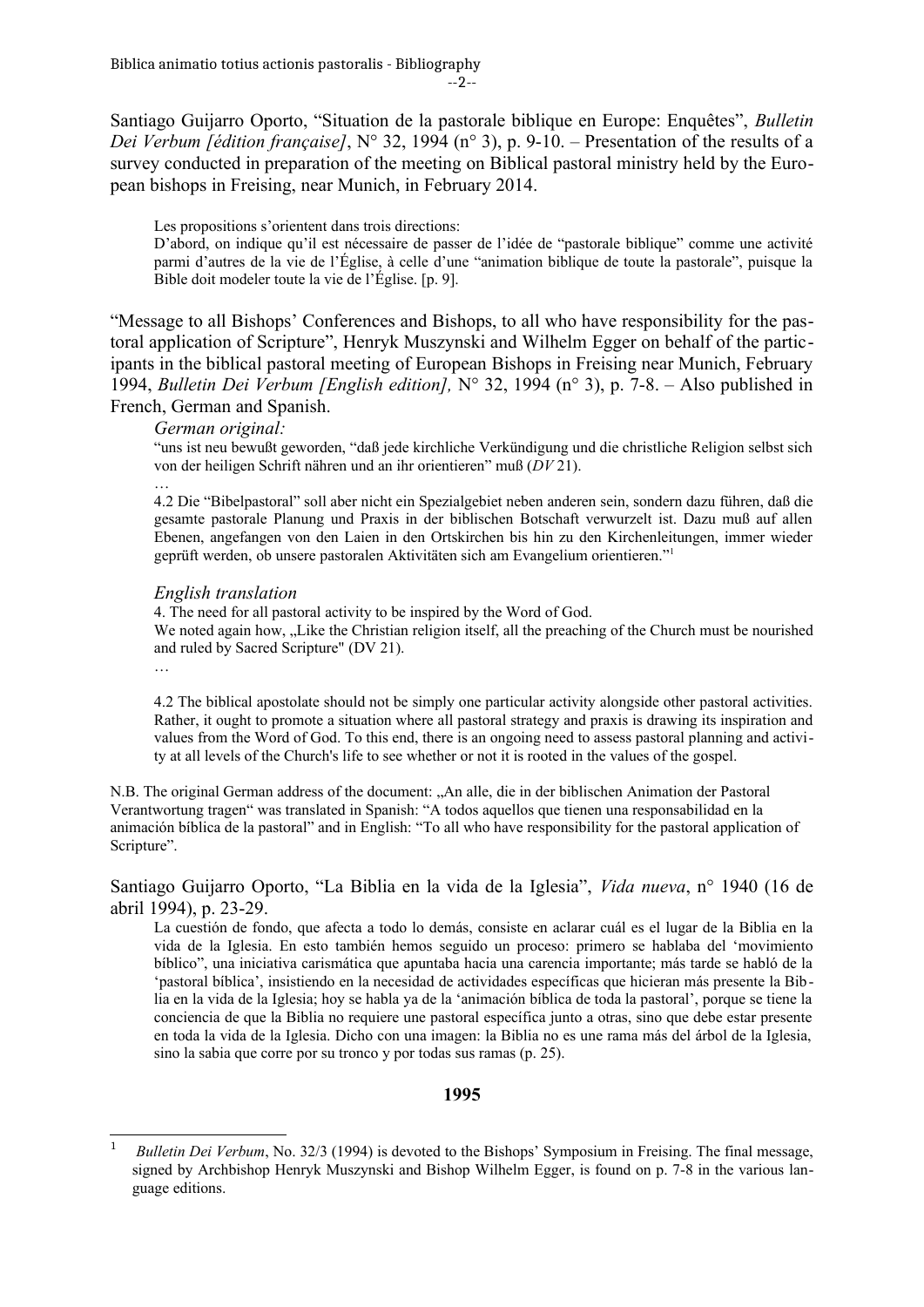Santiago Guijarro Oporto, "Situation de la pastorale biblique en Europe: Enquêtes", *Bulletin Dei Verbum [édition française]*, N° 32, 1994 (n° 3), p. 9-10. – Presentation of the results of a survey conducted in preparation of the meeting on Biblical pastoral ministry held by the European bishops in Freising, near Munich, in February 2014.

Les propositions s'orientent dans trois directions:

D'abord, on indique qu'il est nécessaire de passer de l'idée de "pastorale biblique" comme une activité parmi d'autres de la vie de l'Église, à celle d'une "animation biblique de toute la pastorale", puisque la Bible doit modeler toute la vie de l'Église. [p. 9].

"Message to all Bishops' Conferences and Bishops, to all who have responsibility for the pastoral application of Scripture", Henryk Muszynski and Wilhelm Egger on behalf of the participants in the biblical pastoral meeting of European Bishops in Freising near Munich, February 1994, *Bulletin Dei Verbum [English edition],* N° 32, 1994 (n° 3), p. 7-8. – Also published in French, German and Spanish.

### *German original:*

"uns ist neu bewußt geworden, "daß jede kirchliche Verkündigung und die christliche Religion selbst sich von der heiligen Schrift nähren und an ihr orientieren" muß (*DV* 21).

4.2 Die "Bibelpastoral" soll aber nicht ein Spezialgebiet neben anderen sein, sondern dazu führen, daß die gesamte pastorale Planung und Praxis in der biblischen Botschaft verwurzelt ist. Dazu muß auf allen Ebenen, angefangen von den Laien in den Ortskirchen bis hin zu den Kirchenleitungen, immer wieder geprüft werden, ob unsere pastoralen Aktivitäten sich am Evangelium orientieren."[1](#page-1-0)

### *English translation*

4. The need for all pastoral activity to be inspired by the Word of God. We noted again how, "Like the Christian religion itself, all the preaching of the Church must be nourished and ruled by Sacred Scripture" (DV 21).

…

…

4.2 The biblical apostolate should not be simply one particular activity alongside other pastoral activities. Rather, it ought to promote a situation where all pastoral strategy and praxis is drawing its inspiration and values from the Word of God. To this end, there is an ongoing need to assess pastoral planning and activity at all levels of the Church's life to see whether or not it is rooted in the values of the gospel.

N.B. The original German address of the document: "An alle, die in der biblischen Animation der Pastoral Verantwortung tragen" was translated in Spanish: "A todos aquellos que tienen una responsabilidad en la animación bíblica de la pastoral" and in English: "To all who have responsibility for the pastoral application of Scripture".

Santiago Guijarro Oporto, "La Biblia en la vida de la Iglesia", *Vida nueva*, n° 1940 (16 de abril 1994), p. 23-29.

La cuestión de fondo, que afecta a todo lo demás, consiste en aclarar cuál es el lugar de la Biblia en la vida de la Iglesia. En esto también hemos seguido un proceso: primero se hablaba del 'movimiento bíblico", una iniciativa carismática que apuntaba hacia una carencia importante; más tarde se habló de la 'pastoral bíblica', insistiendo en la necesidad de actividades específicas que hicieran más presente la Biblia en la vida de la Iglesia; hoy se habla ya de la 'animación bíblica de toda la pastoral', porque se tiene la conciencia de que la Biblia no requiere une pastoral específica junto a otras, sino que debe estar presente en toda la vida de la Iglesia. Dicho con una imagen: la Biblia no es une rama más del árbol de la Iglesia, sino la sabia que corre por su tronco y por todas sus ramas (p. 25).

# **1995**

<span id="page-1-0"></span><sup>1</sup> *Bulletin Dei Verbum*, No. 32/3 (1994) is devoted to the Bishops' Symposium in Freising. The final message, signed by Archbishop Henryk Muszynski and Bishop Wilhelm Egger, is found on p. 7-8 in the various language editions.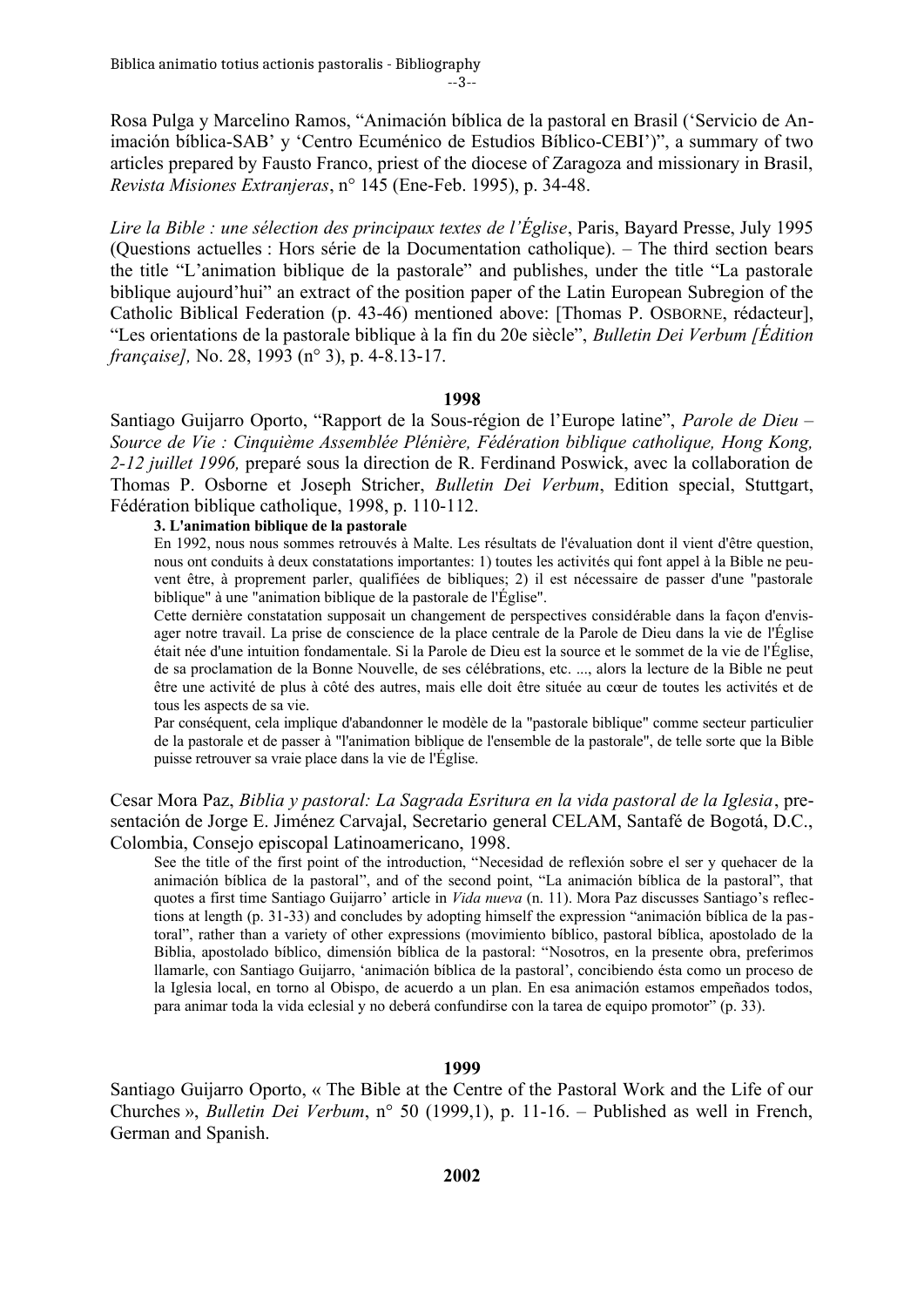Rosa Pulga y Marcelino Ramos, "Animación bíblica de la pastoral en Brasil ('Servicio de Animación bíblica-SAB' y 'Centro Ecuménico de Estudios Bíblico-CEBI')", a summary of two articles prepared by Fausto Franco, priest of the diocese of Zaragoza and missionary in Brasil, *Revista Misiones Extranjeras*, n° 145 (Ene-Feb. 1995), p. 34-48.

*Lire la Bible : une sélection des principaux textes de l'Église*, Paris, Bayard Presse, July 1995 (Questions actuelles : Hors série de la Documentation catholique). – The third section bears the title "L'animation biblique de la pastorale" and publishes, under the title "La pastorale biblique aujourd'hui" an extract of the position paper of the Latin European Subregion of the Catholic Biblical Federation (p. 43-46) mentioned above: [Thomas P. OSBORNE, rédacteur], "Les orientations de la pastorale biblique à la fin du 20e siècle", *Bulletin Dei Verbum [Édition française],* No. 28, 1993 (n° 3), p. 4-8.13-17.

### **1998**

Santiago Guijarro Oporto, "Rapport de la Sous-région de l'Europe latine", *Parole de Dieu – Source de Vie : Cinquième Assemblée Plénière, Fédération biblique catholique, Hong Kong, 2-12 juillet 1996,* preparé sous la direction de R. Ferdinand Poswick, avec la collaboration de Thomas P. Osborne et Joseph Stricher, *Bulletin Dei Verbum*, Edition special, Stuttgart, Fédération biblique catholique, 1998, p. 110-112.

### **3. L'animation biblique de la pastorale**

En 1992, nous nous sommes retrouvés à Malte. Les résultats de l'évaluation dont il vient d'être question, nous ont conduits à deux constatations importantes: 1) toutes les activités qui font appel à la Bible ne peuvent être, à proprement parler, qualifiées de bibliques; 2) il est nécessaire de passer d'une "pastorale biblique" à une "animation biblique de la pastorale de l'Église".

Cette dernière constatation supposait un changement de perspectives considérable dans la façon d'envisager notre travail. La prise de conscience de la place centrale de la Parole de Dieu dans la vie de l'Église était née d'une intuition fondamentale. Si la Parole de Dieu est la source et le sommet de la vie de l'Église, de sa proclamation de la Bonne Nouvelle, de ses célébrations, etc. ..., alors la lecture de la Bible ne peut être une activité de plus à côté des autres, mais elle doit être située au cœur de toutes les activités et de tous les aspects de sa vie.

Par conséquent, cela implique d'abandonner le modèle de la "pastorale biblique" comme secteur particulier de la pastorale et de passer à "l'animation biblique de l'ensemble de la pastorale", de telle sorte que la Bible puisse retrouver sa vraie place dans la vie de l'Église.

Cesar Mora Paz, *Biblia y pastoral: La Sagrada Esritura en la vida pastoral de la Iglesia*, presentación de Jorge E. Jiménez Carvajal, Secretario general CELAM, Santafé de Bogotá, D.C., Colombia, Consejo episcopal Latinoamericano, 1998.

See the title of the first point of the introduction, "Necesidad de reflexión sobre el ser y quehacer de la animación bíblica de la pastoral", and of the second point, "La animación bíblica de la pastoral", that quotes a first time Santiago Guijarro' article in *Vida nueva* (n. 11). Mora Paz discusses Santiago's reflections at length (p. 31-33) and concludes by adopting himself the expression "animación bíblica de la pastoral", rather than a variety of other expressions (movimiento bíblico, pastoral bíblica, apostolado de la Biblia, apostolado bíblico, dimensión bíblica de la pastoral: "Nosotros, en la presente obra, preferimos llamarle, con Santiago Guijarro, 'animación bíblica de la pastoral', concibiendo ésta como un proceso de la Iglesia local, en torno al Obispo, de acuerdo a un plan. En esa animación estamos empeñados todos, para animar toda la vida eclesial y no deberá confundirse con la tarea de equipo promotor" (p. 33).

### **1999**

Santiago Guijarro Oporto, « The Bible at the Centre of the Pastoral Work and the Life of our Churches », *Bulletin Dei Verbum*, n° 50 (1999,1), p. 11-16. – Published as well in French, German and Spanish.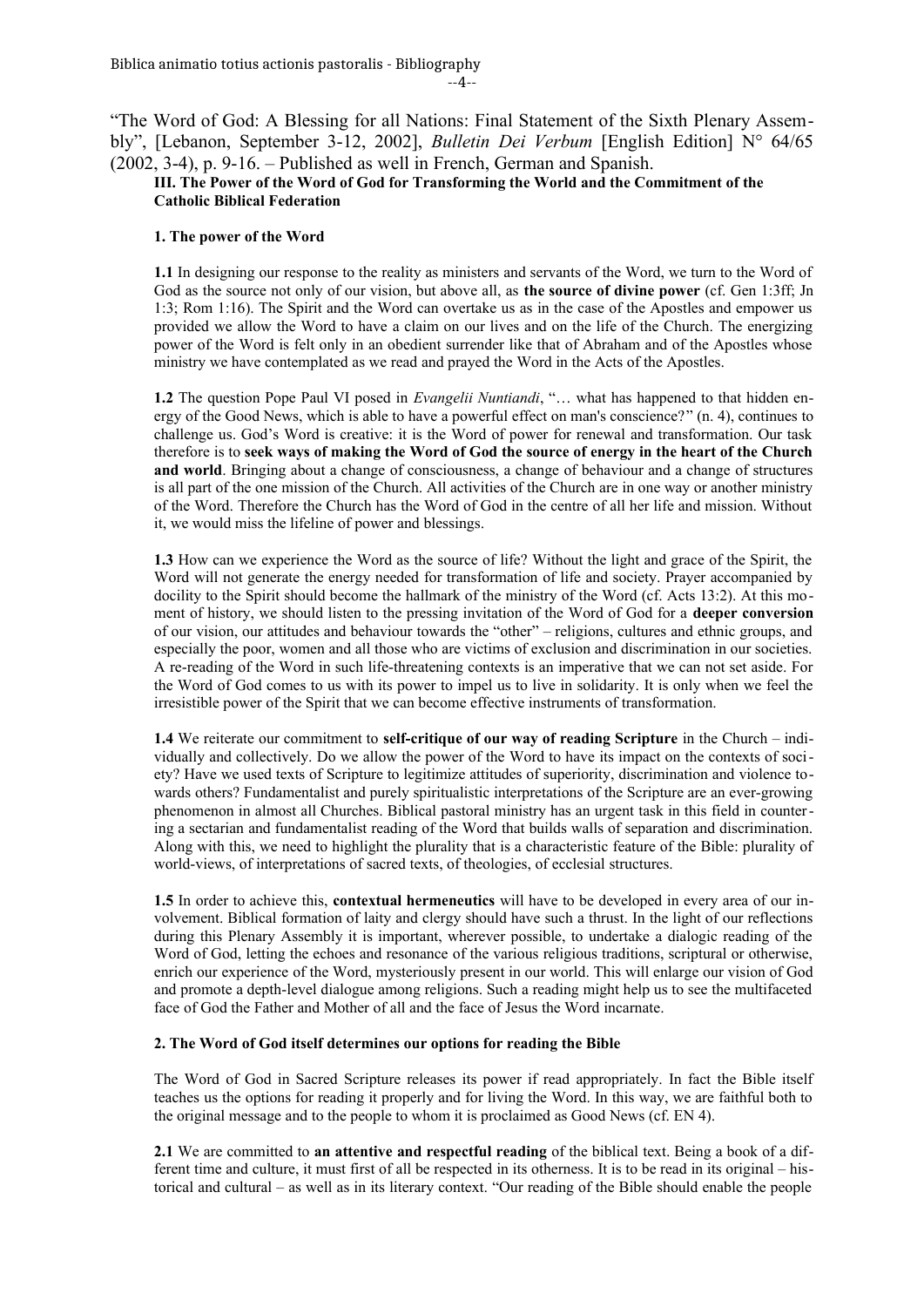$-4-$ 

"The Word of God: A Blessing for all Nations: Final Statement of the Sixth Plenary Assembly", [Lebanon, September 3-12, 2002], *Bulletin Dei Verbum* [English Edition] N° 64/65 (2002, 3-4), p. 9-16. – Published as well in French, German and Spanish.

### **III. The Power of the Word of God for Transforming the World and the Commitment of the Catholic Biblical Federation**

### **1. The power of the Word**

**1.1** In designing our response to the reality as ministers and servants of the Word, we turn to the Word of God as the source not only of our vision, but above all, as **the source of divine power** (cf. Gen 1:3ff; Jn 1:3; Rom 1:16). The Spirit and the Word can overtake us as in the case of the Apostles and empower us provided we allow the Word to have a claim on our lives and on the life of the Church. The energizing power of the Word is felt only in an obedient surrender like that of Abraham and of the Apostles whose ministry we have contemplated as we read and prayed the Word in the Acts of the Apostles.

**1.2** The question Pope Paul VI posed in *Evangelii Nuntiandi*, "… what has happened to that hidden energy of the Good News, which is able to have a powerful effect on man's conscience?" (n. 4), continues to challenge us. God's Word is creative: it is the Word of power for renewal and transformation. Our task therefore is to **seek ways of making the Word of God the source of energy in the heart of the Church and world**. Bringing about a change of consciousness, a change of behaviour and a change of structures is all part of the one mission of the Church. All activities of the Church are in one way or another ministry of the Word. Therefore the Church has the Word of God in the centre of all her life and mission. Without it, we would miss the lifeline of power and blessings.

**1.3** How can we experience the Word as the source of life? Without the light and grace of the Spirit, the Word will not generate the energy needed for transformation of life and society. Prayer accompanied by docility to the Spirit should become the hallmark of the ministry of the Word (cf. Acts 13:2). At this moment of history, we should listen to the pressing invitation of the Word of God for a **deeper conversion** of our vision, our attitudes and behaviour towards the "other" – religions, cultures and ethnic groups, and especially the poor, women and all those who are victims of exclusion and discrimination in our societies. A re-reading of the Word in such life-threatening contexts is an imperative that we can not set aside. For the Word of God comes to us with its power to impel us to live in solidarity. It is only when we feel the irresistible power of the Spirit that we can become effective instruments of transformation.

**1.4** We reiterate our commitment to **self-critique of our way of reading Scripture** in the Church – individually and collectively. Do we allow the power of the Word to have its impact on the contexts of society? Have we used texts of Scripture to legitimize attitudes of superiority, discrimination and violence towards others? Fundamentalist and purely spiritualistic interpretations of the Scripture are an ever-growing phenomenon in almost all Churches. Biblical pastoral ministry has an urgent task in this field in countering a sectarian and fundamentalist reading of the Word that builds walls of separation and discrimination. Along with this, we need to highlight the plurality that is a characteristic feature of the Bible: plurality of world-views, of interpretations of sacred texts, of theologies, of ecclesial structures.

**1.5** In order to achieve this, **contextual hermeneutics** will have to be developed in every area of our involvement. Biblical formation of laity and clergy should have such a thrust. In the light of our reflections during this Plenary Assembly it is important, wherever possible, to undertake a dialogic reading of the Word of God, letting the echoes and resonance of the various religious traditions, scriptural or otherwise, enrich our experience of the Word, mysteriously present in our world. This will enlarge our vision of God and promote a depth-level dialogue among religions. Such a reading might help us to see the multifaceted face of God the Father and Mother of all and the face of Jesus the Word incarnate.

### **2. The Word of God itself determines our options for reading the Bible**

The Word of God in Sacred Scripture releases its power if read appropriately. In fact the Bible itself teaches us the options for reading it properly and for living the Word. In this way, we are faithful both to the original message and to the people to whom it is proclaimed as Good News (cf. EN 4).

**2.1** We are committed to **an attentive and respectful reading** of the biblical text. Being a book of a different time and culture, it must first of all be respected in its otherness. It is to be read in its original – historical and cultural – as well as in its literary context. "Our reading of the Bible should enable the people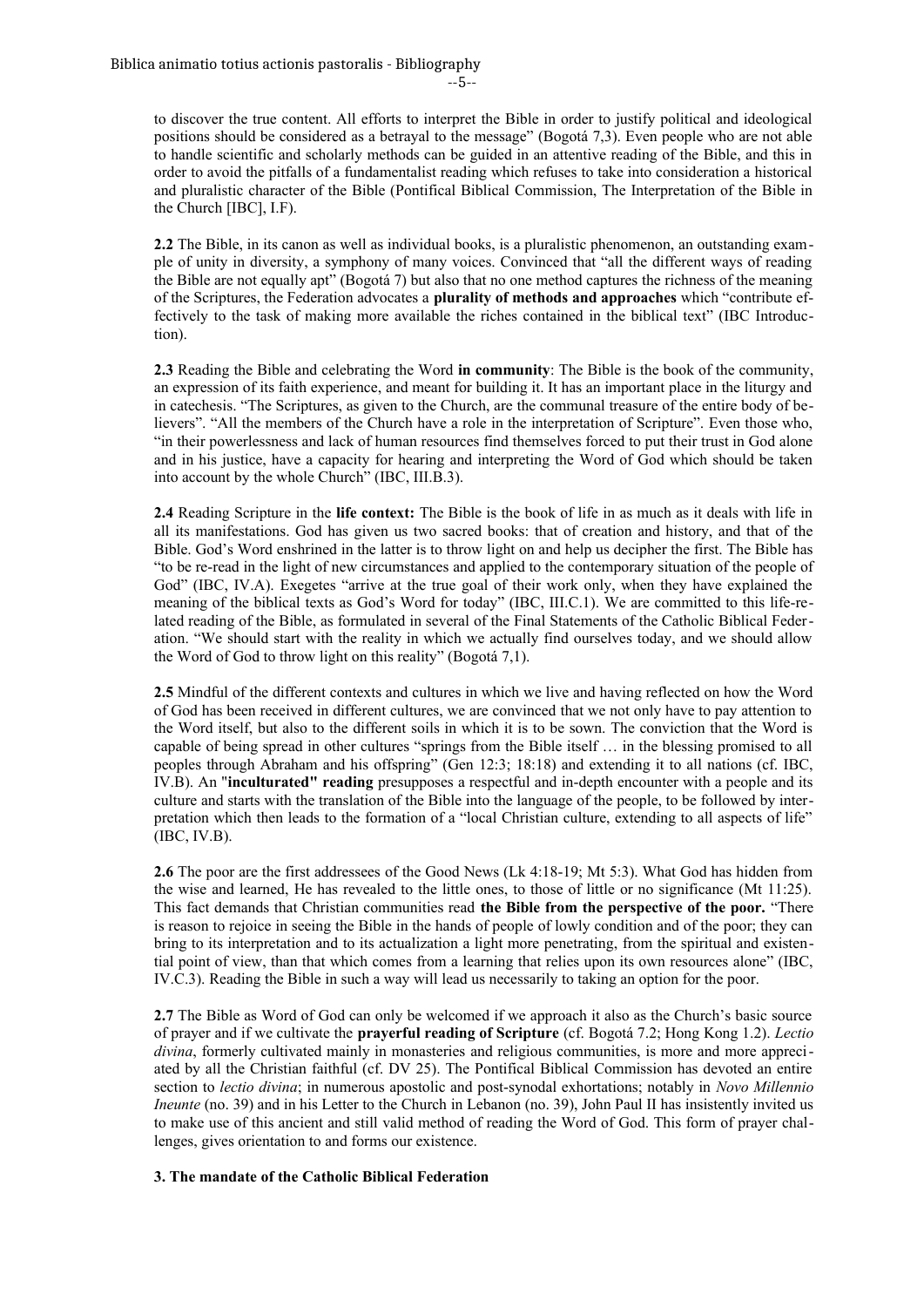--5--

to discover the true content. All efforts to interpret the Bible in order to justify political and ideological positions should be considered as a betrayal to the message" (Bogotá 7,3). Even people who are not able to handle scientific and scholarly methods can be guided in an attentive reading of the Bible, and this in order to avoid the pitfalls of a fundamentalist reading which refuses to take into consideration a historical and pluralistic character of the Bible (Pontifical Biblical Commission, The Interpretation of the Bible in the Church [IBC], I.F).

**2.2** The Bible, in its canon as well as individual books, is a pluralistic phenomenon, an outstanding example of unity in diversity, a symphony of many voices. Convinced that "all the different ways of reading the Bible are not equally apt" (Bogotá 7) but also that no one method captures the richness of the meaning of the Scriptures, the Federation advocates a **plurality of methods and approaches** which "contribute effectively to the task of making more available the riches contained in the biblical text" (IBC Introduction).

**2.3** Reading the Bible and celebrating the Word **in community**: The Bible is the book of the community, an expression of its faith experience, and meant for building it. It has an important place in the liturgy and in catechesis. "The Scriptures, as given to the Church, are the communal treasure of the entire body of believers". "All the members of the Church have a role in the interpretation of Scripture". Even those who, "in their powerlessness and lack of human resources find themselves forced to put their trust in God alone and in his justice, have a capacity for hearing and interpreting the Word of God which should be taken into account by the whole Church" (IBC, III.B.3).

**2.4** Reading Scripture in the **life context:** The Bible is the book of life in as much as it deals with life in all its manifestations. God has given us two sacred books: that of creation and history, and that of the Bible. God's Word enshrined in the latter is to throw light on and help us decipher the first. The Bible has "to be re-read in the light of new circumstances and applied to the contemporary situation of the people of God" (IBC, IV.A). Exegetes "arrive at the true goal of their work only, when they have explained the meaning of the biblical texts as God's Word for today" (IBC, III.C.1). We are committed to this life-related reading of the Bible, as formulated in several of the Final Statements of the Catholic Biblical Federation. "We should start with the reality in which we actually find ourselves today, and we should allow the Word of God to throw light on this reality" (Bogotá 7,1).

**2.5** Mindful of the different contexts and cultures in which we live and having reflected on how the Word of God has been received in different cultures, we are convinced that we not only have to pay attention to the Word itself, but also to the different soils in which it is to be sown. The conviction that the Word is capable of being spread in other cultures "springs from the Bible itself … in the blessing promised to all peoples through Abraham and his offspring" (Gen 12:3; 18:18) and extending it to all nations (cf. IBC, IV.B). An "**inculturated" reading** presupposes a respectful and in-depth encounter with a people and its culture and starts with the translation of the Bible into the language of the people, to be followed by interpretation which then leads to the formation of a "local Christian culture, extending to all aspects of life" (IBC, IV.B).

**2.6** The poor are the first addressees of the Good News (Lk 4:18-19; Mt 5:3). What God has hidden from the wise and learned, He has revealed to the little ones, to those of little or no significance (Mt 11:25). This fact demands that Christian communities read **the Bible from the perspective of the poor.** "There is reason to rejoice in seeing the Bible in the hands of people of lowly condition and of the poor; they can bring to its interpretation and to its actualization a light more penetrating, from the spiritual and existential point of view, than that which comes from a learning that relies upon its own resources alone" (IBC, IV.C.3). Reading the Bible in such a way will lead us necessarily to taking an option for the poor.

**2.7** The Bible as Word of God can only be welcomed if we approach it also as the Church's basic source of prayer and if we cultivate the **prayerful reading of Scripture** (cf. Bogotá 7.2; Hong Kong 1.2). *Lectio divina*, formerly cultivated mainly in monasteries and religious communities, is more and more appreciated by all the Christian faithful (cf. DV 25). The Pontifical Biblical Commission has devoted an entire section to *lectio divina*; in numerous apostolic and post-synodal exhortations; notably in *Novo Millennio Ineunte* (no. 39) and in his Letter to the Church in Lebanon (no. 39), John Paul II has insistently invited us to make use of this ancient and still valid method of reading the Word of God. This form of prayer challenges, gives orientation to and forms our existence.

### **3. The mandate of the Catholic Biblical Federation**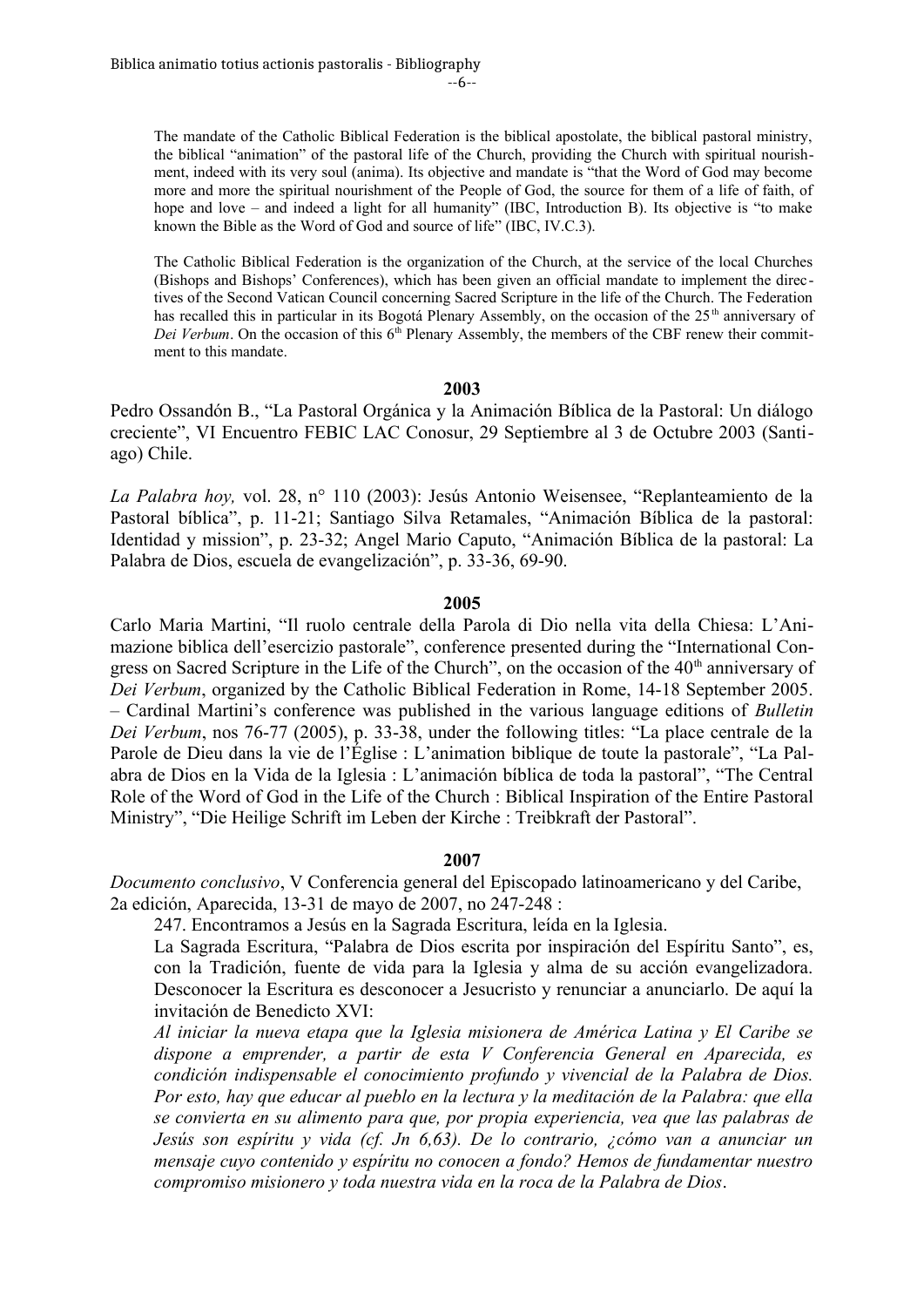--6--

The mandate of the Catholic Biblical Federation is the biblical apostolate, the biblical pastoral ministry, the biblical "animation" of the pastoral life of the Church, providing the Church with spiritual nourishment, indeed with its very soul (anima). Its objective and mandate is "that the Word of God may become more and more the spiritual nourishment of the People of God, the source for them of a life of faith, of hope and love – and indeed a light for all humanity" (IBC, Introduction B). Its objective is "to make known the Bible as the Word of God and source of life" (IBC, IV.C.3).

The Catholic Biblical Federation is the organization of the Church, at the service of the local Churches (Bishops and Bishops' Conferences), which has been given an official mandate to implement the directives of the Second Vatican Council concerning Sacred Scripture in the life of the Church. The Federation has recalled this in particular in its Bogotá Plenary Assembly, on the occasion of the 25<sup>th</sup> anniversary of *Dei Verbum*. On the occasion of this 6<sup>th</sup> Plenary Assembly, the members of the CBF renew their commitment to this mandate.

### **2003**

Pedro Ossandón B., "La Pastoral Orgánica y la Animación Bíblica de la Pastoral: Un diálogo creciente", VI Encuentro FEBIC LAC Conosur, 29 Septiembre al 3 de Octubre 2003 (Santiago) Chile.

*La Palabra hoy,* vol. 28, n° 110 (2003): Jesús Antonio Weisensee, "Replanteamiento de la Pastoral bíblica", p. 11-21; Santiago Silva Retamales, "Animación Bíblica de la pastoral: Identidad y mission", p. 23-32; Angel Mario Caputo, "Animación Bíblica de la pastoral: La Palabra de Dios, escuela de evangelización", p. 33-36, 69-90.

# **2005**

Carlo Maria Martini, "Il ruolo centrale della Parola di Dio nella vita della Chiesa: L'Animazione biblica dell'esercizio pastorale", conference presented during the "International Congress on Sacred Scripture in the Life of the Church", on the occasion of the 40<sup>th</sup> anniversary of *Dei Verbum*, organized by the Catholic Biblical Federation in Rome, 14-18 September 2005. – Cardinal Martini's conference was published in the various language editions of *Bulletin Dei Verbum*, nos 76-77 (2005), p. 33-38, under the following titles: "La place centrale de la Parole de Dieu dans la vie de l'Église : L'animation biblique de toute la pastorale", "La Palabra de Dios en la Vida de la Iglesia : L'animación bíblica de toda la pastoral", "The Central Role of the Word of God in the Life of the Church : Biblical Inspiration of the Entire Pastoral Ministry", "Die Heilige Schrift im Leben der Kirche : Treibkraft der Pastoral".

# **2007**

*Documento conclusivo*, V Conferencia general del Episcopado latinoamericano y del Caribe, 2a edición, Aparecida, 13-31 de mayo de 2007, no 247-248 :

247. Encontramos a Jesús en la Sagrada Escritura, leída en la Iglesia.

La Sagrada Escritura, "Palabra de Dios escrita por inspiración del Espíritu Santo", es, con la Tradición, fuente de vida para la Iglesia y alma de su acción evangelizadora. Desconocer la Escritura es desconocer a Jesucristo y renunciar a anunciarlo. De aquí la invitación de Benedicto XVI:

*Al iniciar la nueva etapa que la Iglesia misionera de América Latina y El Caribe se dispone a emprender, a partir de esta V Conferencia General en Aparecida, es condición indispensable el conocimiento profundo y vivencial de la Palabra de Dios. Por esto, hay que educar al pueblo en la lectura y la meditación de la Palabra: que ella se convierta en su alimento para que, por propia experiencia, vea que las palabras de Jesús son espíritu y vida (cf. Jn 6,63). De lo contrario, ¿cómo van a anunciar un mensaje cuyo contenido y espíritu no conocen a fondo? Hemos de fundamentar nuestro compromiso misionero y toda nuestra vida en la roca de la Palabra de Dios*.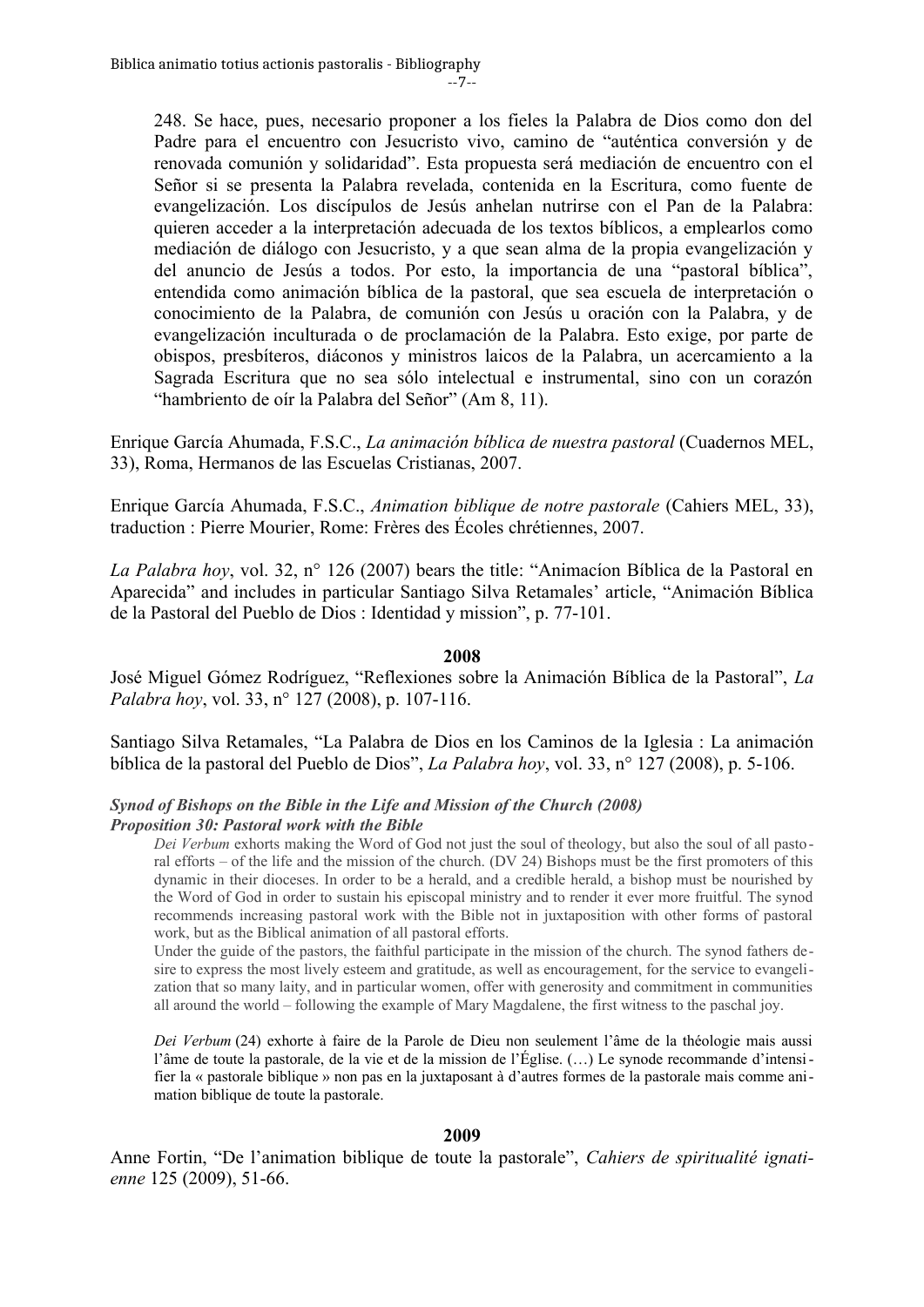--7--

248. Se hace, pues, necesario proponer a los fieles la Palabra de Dios como don del Padre para el encuentro con Jesucristo vivo, camino de "auténtica conversión y de renovada comunión y solidaridad". Esta propuesta será mediación de encuentro con el Señor si se presenta la Palabra revelada, contenida en la Escritura, como fuente de evangelización. Los discípulos de Jesús anhelan nutrirse con el Pan de la Palabra: quieren acceder a la interpretación adecuada de los textos bíblicos, a emplearlos como mediación de diálogo con Jesucristo, y a que sean alma de la propia evangelización y del anuncio de Jesús a todos. Por esto, la importancia de una "pastoral bíblica", entendida como animación bíblica de la pastoral, que sea escuela de interpretación o conocimiento de la Palabra, de comunión con Jesús u oración con la Palabra, y de evangelización inculturada o de proclamación de la Palabra. Esto exige, por parte de obispos, presbíteros, diáconos y ministros laicos de la Palabra, un acercamiento a la Sagrada Escritura que no sea sólo intelectual e instrumental, sino con un corazón "hambriento de oír la Palabra del Señor" (Am 8, 11).

Enrique García Ahumada, F.S.C., *La animación bíblica de nuestra pastoral* (Cuadernos MEL, 33), Roma, Hermanos de las Escuelas Cristianas, 2007.

Enrique García Ahumada, F.S.C., *Animation biblique de notre pastorale* (Cahiers MEL, 33), traduction : Pierre Mourier, Rome: Frères des Écoles chrétiennes, 2007.

*La Palabra hoy*, vol. 32, n° 126 (2007) bears the title: "Animacíon Bíblica de la Pastoral en Aparecida" and includes in particular Santiago Silva Retamales' article, "Animación Bíblica de la Pastoral del Pueblo de Dios : Identidad y mission", p. 77-101.

# **2008**

José Miguel Gómez Rodríguez, "Reflexiones sobre la Animación Bíblica de la Pastoral", *La Palabra hoy*, vol. 33, n° 127 (2008), p. 107-116.

Santiago Silva Retamales, "La Palabra de Dios en los Caminos de la Iglesia : La animación bíblica de la pastoral del Pueblo de Dios", *La Palabra hoy*, vol. 33, n° 127 (2008), p. 5-106.

# *Synod of Bishops on the Bible in the Life and Mission of the Church (2008) Proposition 30: Pastoral work with the Bible*

*Dei Verbum* exhorts making the Word of God not just the soul of theology, but also the soul of all pastoral efforts – of the life and the mission of the church. (DV 24) Bishops must be the first promoters of this dynamic in their dioceses. In order to be a herald, and a credible herald, a bishop must be nourished by the Word of God in order to sustain his episcopal ministry and to render it ever more fruitful. The synod recommends increasing pastoral work with the Bible not in juxtaposition with other forms of pastoral work, but as the Biblical animation of all pastoral efforts.

Under the guide of the pastors, the faithful participate in the mission of the church. The synod fathers desire to express the most lively esteem and gratitude, as well as encouragement, for the service to evangelization that so many laity, and in particular women, offer with generosity and commitment in communities all around the world – following the example of Mary Magdalene, the first witness to the paschal joy.

*Dei Verbum* (24) exhorte à faire de la Parole de Dieu non seulement l'âme de la théologie mais aussi l'âme de toute la pastorale, de la vie et de la mission de l'Église. (…) Le synode recommande d'intensifier la « pastorale biblique » non pas en la juxtaposant à d'autres formes de la pastorale mais comme animation biblique de toute la pastorale.

# **2009**

Anne Fortin, "De l'animation biblique de toute la pastorale", *Cahiers de spiritualité ignatienne* 125 (2009), 51-66.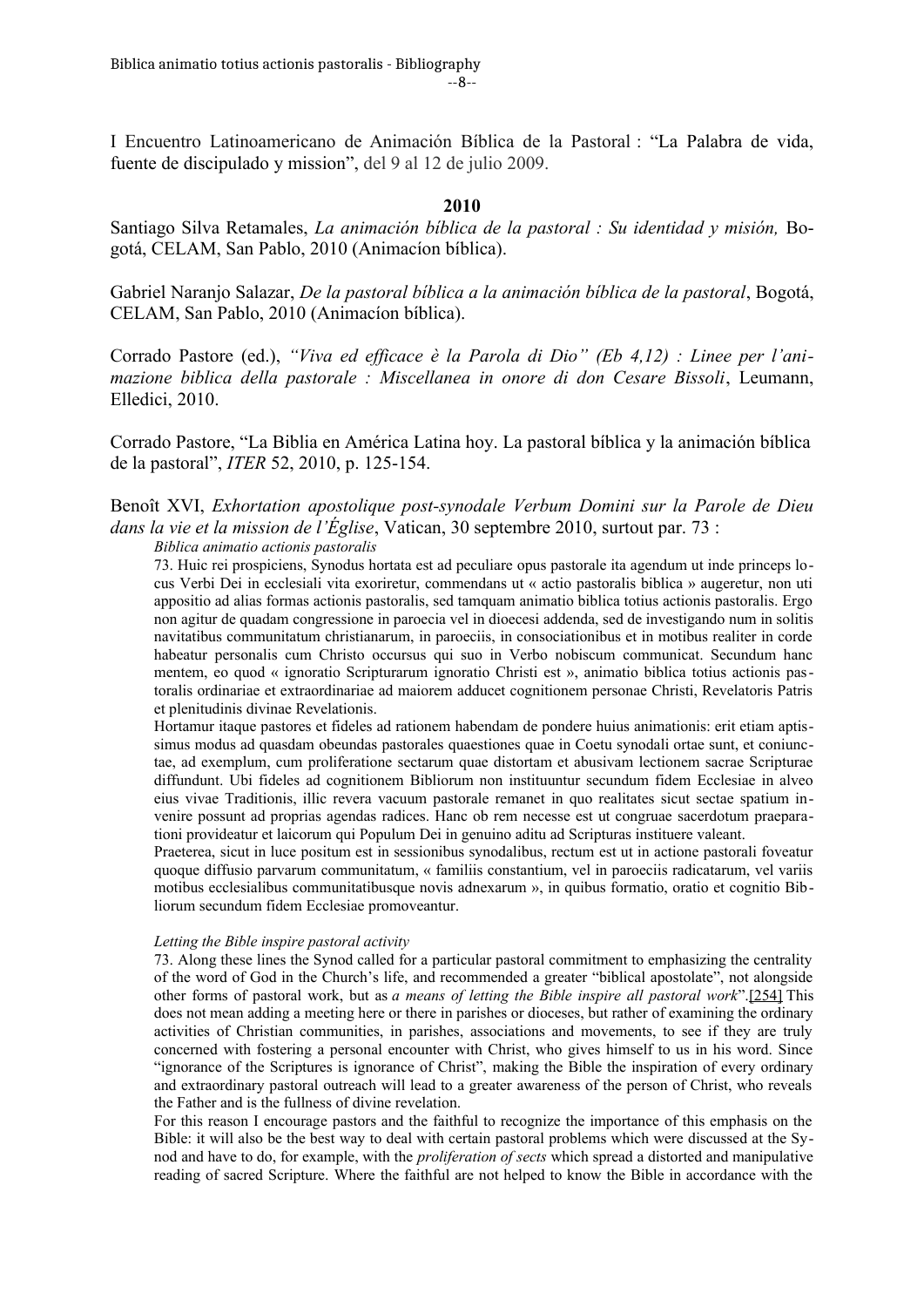I Encuentro Latinoamericano de Animación Bíblica de la Pastoral : "La Palabra de vida, fuente de discipulado y mission", del 9 al 12 de julio 2009.

# **2010**

Santiago Silva Retamales, *La animación bíblica de la pastoral : Su identidad y misión,* Bogotá, CELAM, San Pablo, 2010 (Animacíon bíblica).

Gabriel Naranjo Salazar, *De la pastoral bíblica a la animación bíblica de la pastoral*, Bogotá, CELAM, San Pablo, 2010 (Animacíon bíblica).

Corrado Pastore (ed.), *"Viva ed efficace è la Parola di Dio" (Eb 4,12) : Linee per l'animazione biblica della pastorale : Miscellanea in onore di don Cesare Bissoli*, Leumann, Elledici, 2010.

Corrado Pastore, "La Biblia en América Latina hoy. La pastoral bíblica y la animación bíblica de la pastoral", *ITER* 52, 2010, p. 125-154.

# Benoît XVI, *Exhortation apostolique post-synodale Verbum Domini sur la Parole de Dieu dans la vie et la mission de l'Église*, Vatican, 30 septembre 2010, surtout par. 73 :

*Biblica animatio actionis pastoralis*

73. Huic rei prospiciens, Synodus hortata est ad peculiare opus pastorale ita agendum ut inde princeps locus Verbi Dei in ecclesiali vita exoriretur, commendans ut « actio pastoralis biblica » augeretur, non uti appositio ad alias formas actionis pastoralis, sed tamquam animatio biblica totius actionis pastoralis. Ergo non agitur de quadam congressione in paroecia vel in dioecesi addenda, sed de investigando num in solitis navitatibus communitatum christianarum, in paroeciis, in consociationibus et in motibus realiter in corde habeatur personalis cum Christo occursus qui suo in Verbo nobiscum communicat. Secundum hanc mentem, eo quod « ignoratio Scripturarum ignoratio Christi est », animatio biblica totius actionis pastoralis ordinariae et extraordinariae ad maiorem adducet cognitionem personae Christi, Revelatoris Patris et plenitudinis divinae Revelationis.

Hortamur itaque pastores et fideles ad rationem habendam de pondere huius animationis: erit etiam aptissimus modus ad quasdam obeundas pastorales quaestiones quae in Coetu synodali ortae sunt, et coniunctae, ad exemplum, cum proliferatione sectarum quae distortam et abusivam lectionem sacrae Scripturae diffundunt. Ubi fideles ad cognitionem Bibliorum non instituuntur secundum fidem Ecclesiae in alveo eius vivae Traditionis, illic revera vacuum pastorale remanet in quo realitates sicut sectae spatium invenire possunt ad proprias agendas radices. Hanc ob rem necesse est ut congruae sacerdotum praeparationi provideatur et laicorum qui Populum Dei in genuino aditu ad Scripturas instituere valeant.

Praeterea, sicut in luce positum est in sessionibus synodalibus, rectum est ut in actione pastorali foveatur quoque diffusio parvarum communitatum, « familiis constantium, vel in paroeciis radicatarum, vel variis motibus ecclesialibus communitatibusque novis adnexarum », in quibus formatio, oratio et cognitio Bibliorum secundum fidem Ecclesiae promoveantur.

### *Letting the Bible inspire pastoral activity*

73. Along these lines the Synod called for a particular pastoral commitment to emphasizing the centrality of the word of God in the Church's life, and recommended a greater "biblical apostolate", not alongside other forms of pastoral work, but as *a means of letting the Bible inspire all pastoral work*".[\[254\]](http://w2.vatican.va/content/benedict-xvi/en/apost_exhortations/documents/hf_ben-xvi_exh_20100930_verbum-domini.html#_ftn254) This does not mean adding a meeting here or there in parishes or dioceses, but rather of examining the ordinary activities of Christian communities, in parishes, associations and movements, to see if they are truly concerned with fostering a personal encounter with Christ, who gives himself to us in his word. Since "ignorance of the Scriptures is ignorance of Christ", making the Bible the inspiration of every ordinary and extraordinary pastoral outreach will lead to a greater awareness of the person of Christ, who reveals the Father and is the fullness of divine revelation.

For this reason I encourage pastors and the faithful to recognize the importance of this emphasis on the Bible: it will also be the best way to deal with certain pastoral problems which were discussed at the Synod and have to do, for example, with the *proliferation of sects* which spread a distorted and manipulative reading of sacred Scripture. Where the faithful are not helped to know the Bible in accordance with the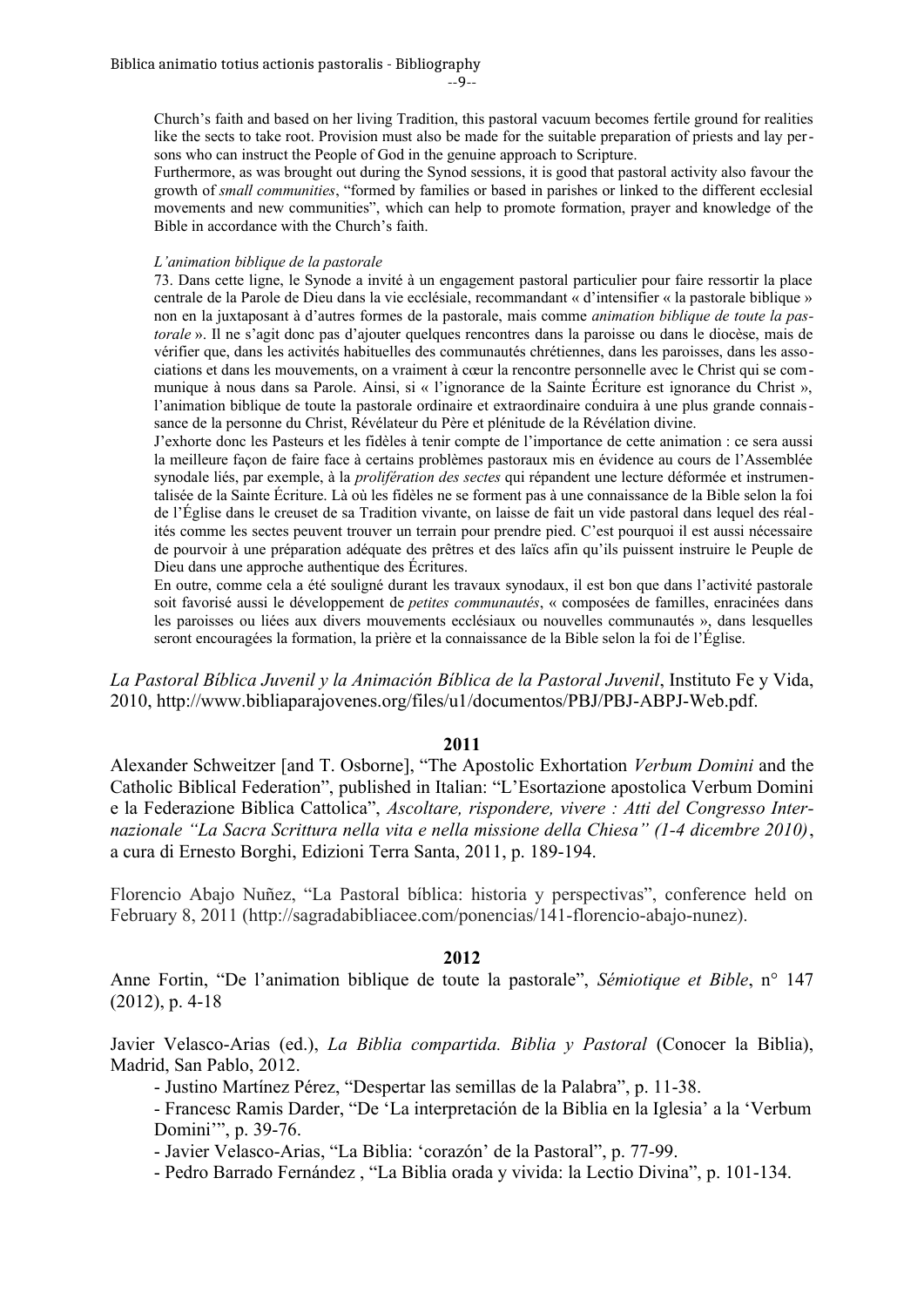--9--

Church's faith and based on her living Tradition, this pastoral vacuum becomes fertile ground for realities like the sects to take root. Provision must also be made for the suitable preparation of priests and lay persons who can instruct the People of God in the genuine approach to Scripture.

Furthermore, as was brought out during the Synod sessions, it is good that pastoral activity also favour the growth of *small communities*, "formed by families or based in parishes or linked to the different ecclesial movements and new communities", which can help to promote formation, prayer and knowledge of the Bible in accordance with the Church's faith.

#### *L'animation biblique de la pastorale*

73. Dans cette ligne, le Synode a invité à un engagement pastoral particulier pour faire ressortir la place centrale de la Parole de Dieu dans la vie ecclésiale, recommandant « d'intensifier « la pastorale biblique » non en la juxtaposant à d'autres formes de la pastorale, mais comme *animation biblique de toute la pastorale* ». Il ne s'agit donc pas d'ajouter quelques rencontres dans la paroisse ou dans le diocèse, mais de vérifier que, dans les activités habituelles des communautés chrétiennes, dans les paroisses, dans les associations et dans les mouvements, on a vraiment à cœur la rencontre personnelle avec le Christ qui se communique à nous dans sa Parole. Ainsi, si « l'ignorance de la Sainte Écriture est ignorance du Christ », l'animation biblique de toute la pastorale ordinaire et extraordinaire conduira à une plus grande connaissance de la personne du Christ, Révélateur du Père et plénitude de la Révélation divine.

J'exhorte donc les Pasteurs et les fidèles à tenir compte de l'importance de cette animation : ce sera aussi la meilleure façon de faire face à certains problèmes pastoraux mis en évidence au cours de l'Assemblée synodale liés, par exemple, à la *prolifération des sectes* qui répandent une lecture déformée et instrumentalisée de la Sainte Écriture. Là où les fidèles ne se forment pas à une connaissance de la Bible selon la foi de l'Église dans le creuset de sa Tradition vivante, on laisse de fait un vide pastoral dans lequel des réalités comme les sectes peuvent trouver un terrain pour prendre pied. C'est pourquoi il est aussi nécessaire de pourvoir à une préparation adéquate des prêtres et des laïcs afin qu'ils puissent instruire le Peuple de Dieu dans une approche authentique des Écritures.

En outre, comme cela a été souligné durant les travaux synodaux, il est bon que dans l'activité pastorale soit favorisé aussi le développement de *petites communautés*, « composées de familles, enracinées dans les paroisses ou liées aux divers mouvements ecclésiaux ou nouvelles communautés », dans lesquelles seront encouragées la formation, la prière et la connaissance de la Bible selon la foi de l'Église.

*La Pastoral Bíblica Juvenil y la Animación Bíblica de la Pastoral Juvenil*, Instituto Fe y Vida, 2010, http://www.bibliaparajovenes.org/files/u1/documentos/PBJ/PBJ-ABPJ-Web.pdf.

### **2011**

Alexander Schweitzer [and T. Osborne], "The Apostolic Exhortation *Verbum Domini* and the Catholic Biblical Federation", published in Italian: "L'Esortazione apostolica Verbum Domini e la Federazione Biblica Cattolica", *Ascoltare, rispondere, vivere : Atti del Congresso Internazionale "La Sacra Scrittura nella vita e nella missione della Chiesa" (1-4 dicembre 2010)*, a cura di Ernesto Borghi, Edizioni Terra Santa, 2011, p. 189-194.

Florencio Abajo Nuñez, "La Pastoral bíblica: historia y perspectivas", conference held on February 8, 2011 (http://sagradabibliacee.com/ponencias/141-florencio-abajo-nunez).

### **2012**

Anne Fortin, "De l'animation biblique de toute la pastorale", *Sémiotique et Bible*, n° 147 (2012), p. 4-18

Javier Velasco-Arias (ed.), *La Biblia compartida. Biblia y Pastoral* (Conocer la Biblia), Madrid, San Pablo, 2012.

- Justino Martínez Pérez, "Despertar las semillas de la Palabra", p. 11-38.

- Francesc Ramis Darder, "De 'La interpretación de la Biblia en la Iglesia' a la 'Verbum Domini'", p. 39-76.

- Javier Velasco-Arias, "La Biblia: 'corazón' de la Pastoral", p. 77-99.

- Pedro Barrado Fernández , "La Biblia orada y vivida: la Lectio Divina", p. 101-134.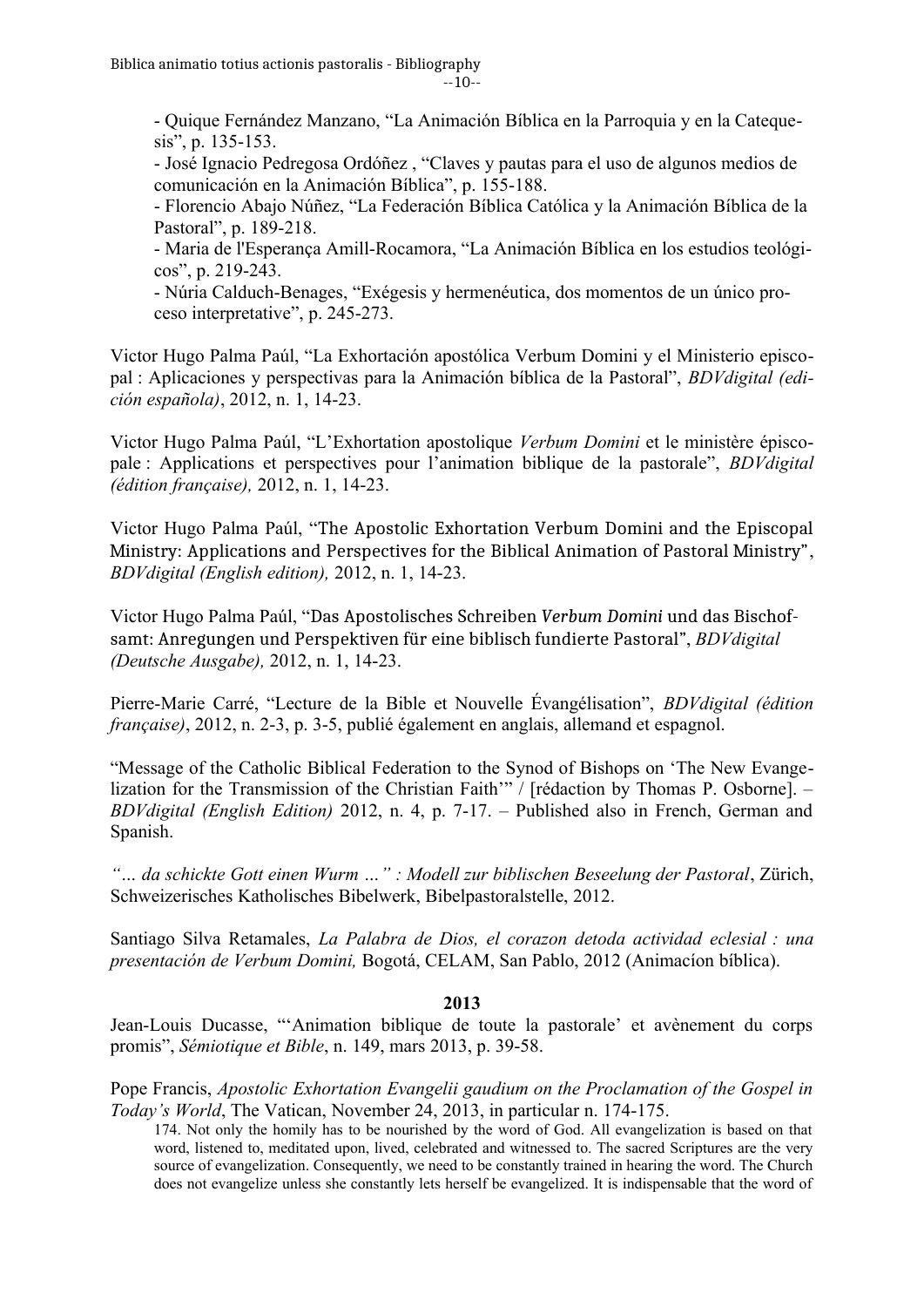$-10-$ 

- Quique Fernández Manzano, "La Animación Bíblica en la Parroquia y en la Catequesis", p. 135-153.

- José Ignacio Pedregosa Ordóñez , "Claves y pautas para el uso de algunos medios de comunicación en la Animación Bíblica", p. 155-188.

- Florencio Abajo Núñez, "La Federación Bíblica Católica y la Animación Bíblica de la Pastoral", p. 189-218.

- Maria de l'Esperança Amill-Rocamora, "La Animación Bíblica en los estudios teológicos", p. 219-243.

- Núria Calduch-Benages, "Exégesis y hermenéutica, dos momentos de un único proceso interpretative", p. 245-273.

Victor Hugo Palma Paúl, "La Exhortación apostólica Verbum Domini y el Ministerio episcopal : Aplicaciones y perspectivas para la Animación bíblica de la Pastoral", *BDVdigital (edición española)*, 2012, n. 1, 14-23.

Victor Hugo Palma Paúl, "L'Exhortation apostolique *Verbum Domini* et le ministère épiscopale : Applications et perspectives pour l'animation biblique de la pastorale", *BDVdigital (édition française),* 2012, n. 1, 14-23.

Victor Hugo Palma Paúl, "The Apostolic Exhortation Verbum Domini and the Episcopal Ministry: Applications and Perspectives for the Biblical Animation of Pastoral Ministry", *BDVdigital (English edition),* 2012, n. 1, 14-23.

Victor Hugo Palma Paúl, "Das Apostolisches Schreiben *Verbum Domini* und das Bischofsamt: Anregungen und Perspektiven für eine biblisch fundierte Pastoral", *BDVdigital (Deutsche Ausgabe),* 2012, n. 1, 14-23.

Pierre-Marie Carré, "Lecture de la Bible et Nouvelle Évangélisation", *BDVdigital (édition française)*, 2012, n. 2-3, p. 3-5, publié également en anglais, allemand et espagnol.

"Message of the Catholic Biblical Federation to the Synod of Bishops on 'The New Evangelization for the Transmission of the Christian Faith'" / [rédaction by Thomas P. Osborne]. – *BDVdigital (English Edition)* 2012, n. 4, p. 7-17. – Published also in French, German and Spanish.

*"… da schickte Gott einen Wurm …" : Modell zur biblischen Beseelung der Pastoral*, Zürich, Schweizerisches Katholisches Bibelwerk, Bibelpastoralstelle, 2012.

Santiago Silva Retamales, *La Palabra de Dios, el corazon detoda actividad eclesial : una presentación de Verbum Domini,* Bogotá, CELAM, San Pablo, 2012 (Animacíon bíblica).

# **2013**

Jean-Louis Ducasse, "'Animation biblique de toute la pastorale' et avènement du corps promis", *Sémiotique et Bible*, n. 149, mars 2013, p. 39-58.

Pope Francis, *Apostolic Exhortation Evangelii gaudium on the Proclamation of the Gospel in Today's World*, The Vatican, November 24, 2013, in particular n. 174-175.

174. Not only the homily has to be nourished by the word of God. All evangelization is based on that word, listened to, meditated upon, lived, celebrated and witnessed to. The sacred Scriptures are the very source of evangelization. Consequently, we need to be constantly trained in hearing the word. The Church does not evangelize unless she constantly lets herself be evangelized. It is indispensable that the word of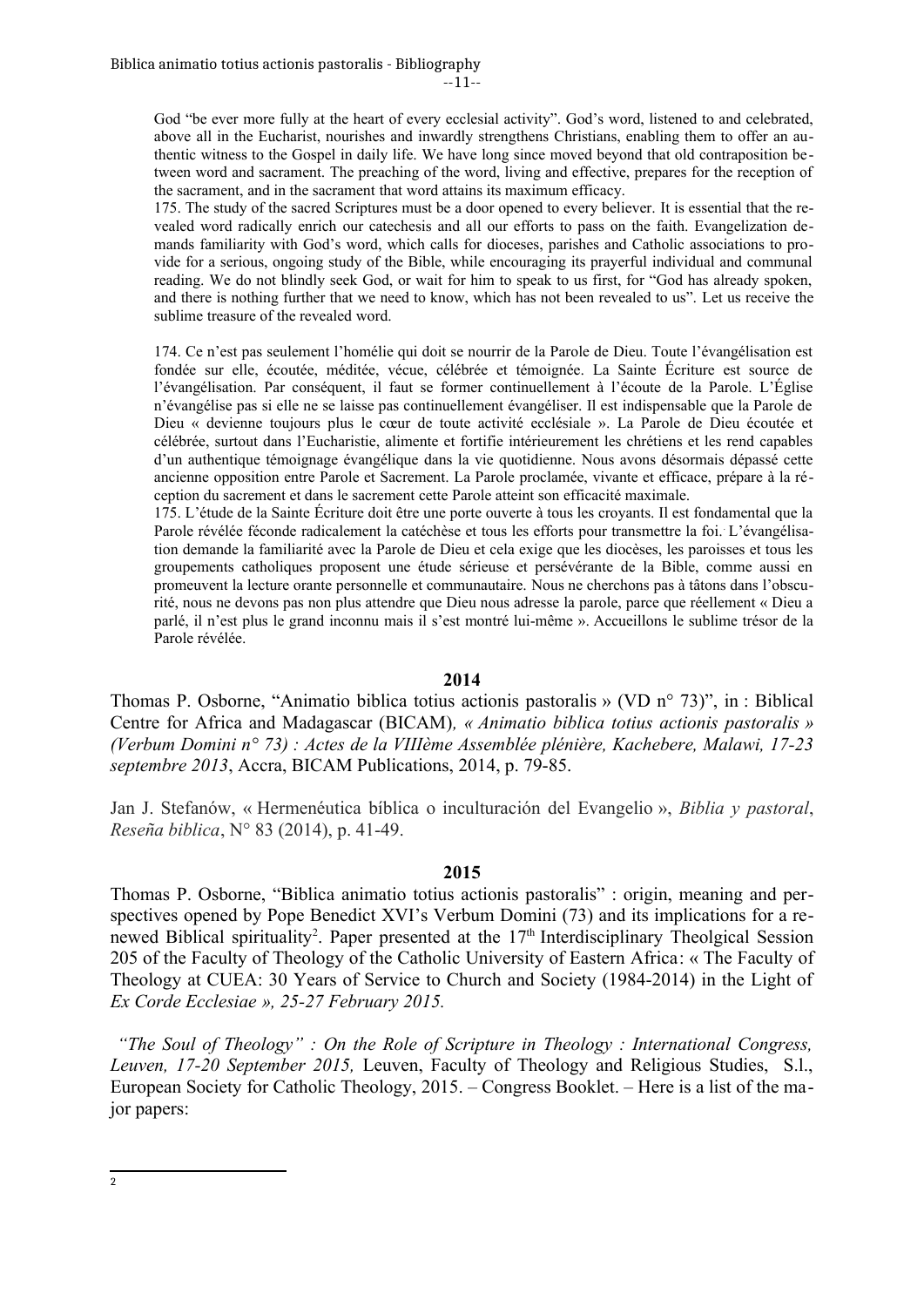--11--

God "be ever more fully at the heart of every ecclesial activity". God's word, listened to and celebrated, above all in the Eucharist, nourishes and inwardly strengthens Christians, enabling them to offer an authentic witness to the Gospel in daily life. We have long since moved beyond that old contraposition between word and sacrament. The preaching of the word, living and effective, prepares for the reception of the sacrament, and in the sacrament that word attains its maximum efficacy.

175. The study of the sacred Scriptures must be a door opened to every believer. It is essential that the revealed word radically enrich our catechesis and all our efforts to pass on the faith. Evangelization demands familiarity with God's word, which calls for dioceses, parishes and Catholic associations to provide for a serious, ongoing study of the Bible, while encouraging its prayerful individual and communal reading. We do not blindly seek God, or wait for him to speak to us first, for "God has already spoken, and there is nothing further that we need to know, which has not been revealed to us". Let us receive the sublime treasure of the revealed word.

174. Ce n'est pas seulement l'homélie qui doit se nourrir de la Parole de Dieu. Toute l'évangélisation est fondée sur elle, écoutée, méditée, vécue, célébrée et témoignée. La Sainte Écriture est source de l'évangélisation. Par conséquent, il faut se former continuellement à l'écoute de la Parole. L'Église n'évangélise pas si elle ne se laisse pas continuellement évangéliser. Il est indispensable que la Parole de Dieu « devienne toujours plus le cœur de toute activité ecclésiale ». La Parole de Dieu écoutée et célébrée, surtout dans l'Eucharistie, alimente et fortifie intérieurement les chrétiens et les rend capables d'un authentique témoignage évangélique dans la vie quotidienne. Nous avons désormais dépassé cette ancienne opposition entre Parole et Sacrement. La Parole proclamée, vivante et efficace, prépare à la réception du sacrement et dans le sacrement cette Parole atteint son efficacité maximale.

175. L'étude de la Sainte Écriture doit être une porte ouverte à tous les croyants. Il est fondamental que la Parole révélée féconde radicalement la catéchèse et tous les efforts pour transmettre la foi.. L'évangélisation demande la familiarité avec la Parole de Dieu et cela exige que les diocèses, les paroisses et tous les groupements catholiques proposent une étude sérieuse et persévérante de la Bible, comme aussi en promeuvent la lecture orante personnelle et communautaire. Nous ne cherchons pas à tâtons dans l'obscurité, nous ne devons pas non plus attendre que Dieu nous adresse la parole, parce que réellement « Dieu a parlé, il n'est plus le grand inconnu mais il s'est montré lui-même ». Accueillons le sublime trésor de la Parole révélée.

### **2014**

Thomas P. Osborne, "Animatio biblica totius actionis pastoralis » (VD n° 73)", in : Biblical Centre for Africa and Madagascar (BICAM)*, « Animatio biblica totius actionis pastoralis » (Verbum Domini n° 73) : Actes de la VIIIème Assemblée plénière, Kachebere, Malawi, 17-23 septembre 2013*, Accra, BICAM Publications, 2014, p. 79-85.

Jan J. Stefanów, « Hermenéutica bíblica o inculturación del Evangelio », *Biblia y pastoral*, *Reseña biblica*, N° 83 (2014), p. 41-49.

### **2015**

Thomas P. Osborne, "Biblica animatio totius actionis pastoralis" : origin, meaning and perspectives opened by Pope Benedict XVI's Verbum Domini (73) and its implications for a re-newed Biblical spirituality<sup>[2](#page-10-0)</sup>. Paper presented at the 17<sup>th</sup> Interdisciplinary Theolgical Session 205 of the Faculty of Theology of the Catholic University of Eastern Africa: « The Faculty of Theology at CUEA: 30 Years of Service to Church and Society (1984-2014) in the Light of *Ex Corde Ecclesiae », 25-27 February 2015.* 

 *"The Soul of Theology" : On the Role of Scripture in Theology : International Congress, Leuven, 17-20 September 2015,* Leuven, Faculty of Theology and Religious Studies, S.l., European Society for Catholic Theology, 2015. – Congress Booklet. – Here is a list of the major papers:

<span id="page-10-0"></span><sup>2</sup>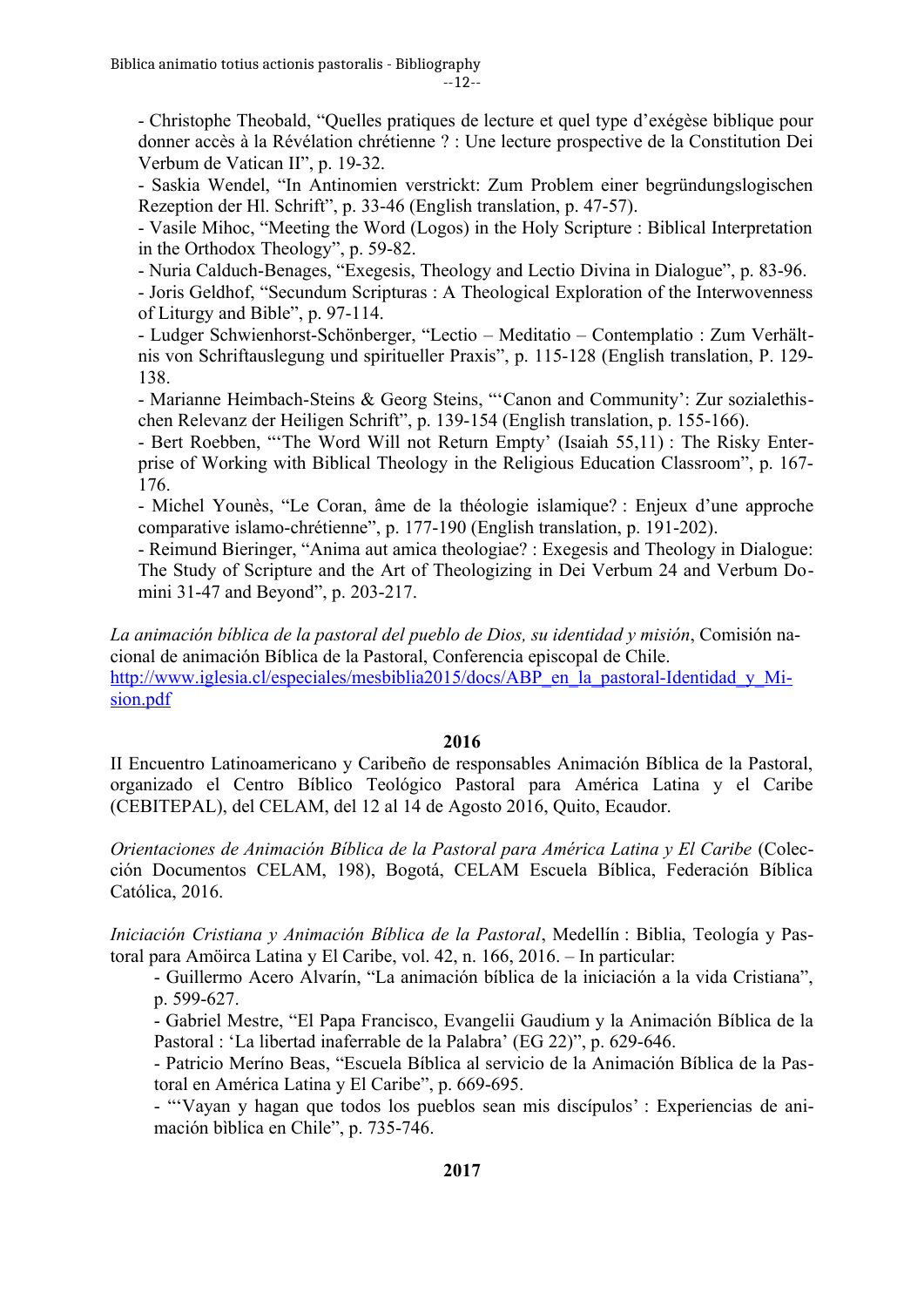--12--

- Christophe Theobald, "Quelles pratiques de lecture et quel type d'exégèse biblique pour donner accès à la Révélation chrétienne ? : Une lecture prospective de la Constitution Dei Verbum de Vatican II", p. 19-32.

- Saskia Wendel, "In Antinomien verstrickt: Zum Problem einer begründungslogischen Rezeption der Hl. Schrift", p. 33-46 (English translation, p. 47-57).

- Vasile Mihoc, "Meeting the Word (Logos) in the Holy Scripture : Biblical Interpretation in the Orthodox Theology", p. 59-82.

- Nuria Calduch-Benages, "Exegesis, Theology and Lectio Divina in Dialogue", p. 83-96.

- Joris Geldhof, "Secundum Scripturas : A Theological Exploration of the Interwovenness of Liturgy and Bible", p. 97-114.

- Ludger Schwienhorst-Schönberger, "Lectio – Meditatio – Contemplatio : Zum Verhältnis von Schriftauslegung und spiritueller Praxis", p. 115-128 (English translation, P. 129- 138.

- Marianne Heimbach-Steins & Georg Steins, "'Canon and Community': Zur sozialethischen Relevanz der Heiligen Schrift", p. 139-154 (English translation, p. 155-166).

- Bert Roebben, "'The Word Will not Return Empty' (Isaiah 55,11) : The Risky Enterprise of Working with Biblical Theology in the Religious Education Classroom", p. 167- 176.

- Michel Younès, "Le Coran, âme de la théologie islamique? : Enjeux d'une approche comparative islamo-chrétienne", p. 177-190 (English translation, p. 191-202).

- Reimund Bieringer, "Anima aut amica theologiae? : Exegesis and Theology in Dialogue: The Study of Scripture and the Art of Theologizing in Dei Verbum 24 and Verbum Domini 31-47 and Beyond", p. 203-217.

*La animación bíblica de la pastoral del pueblo de Dios, su identidad y misión*, Comisión nacional de animación Bíblica de la Pastoral, Conferencia episcopal de Chile. [http://www.iglesia.cl/especiales/mesbiblia2015/docs/ABP\\_en\\_la\\_pastoral-Identidad\\_y\\_Mi](http://www.iglesia.cl/especiales/mesbiblia2015/docs/ABP_en_la_pastoral-Identidad_y_Mision.pdf)[sion.pdf](http://www.iglesia.cl/especiales/mesbiblia2015/docs/ABP_en_la_pastoral-Identidad_y_Mision.pdf)

# **2016**

II Encuentro Latinoamericano y Caribeño de responsables Animación Bíblica de la Pastoral, organizado el Centro Bíblico Teológico Pastoral para América Latina y el Caribe (CEBITEPAL), del CELAM, del 12 al 14 de Agosto 2016, Quito, Ecaudor.

*Orientaciones de Animación Bíblica de la Pastoral para América Latina y El Caribe* (Colección Documentos CELAM, 198), Bogotá, CELAM Escuela Bíblica, Federación Bíblica Católica, 2016.

*Iniciación Cristiana y Animación Bíblica de la Pastoral*, Medellín : Biblia, Teología y Pastoral para Amöirca Latina y El Caribe, vol. 42, n. 166, 2016. – In particular:

- Guillermo Acero Alvarín, "La animación bíblica de la iniciación a la vida Cristiana", p. 599-627.

- Gabriel Mestre, "El Papa Francisco, Evangelii Gaudium y la Animación Bíblica de la Pastoral : 'La libertad inaferrable de la Palabra' (EG 22)", p. 629-646.

- Patricio Meríno Beas, "Escuela Bíblica al servicio de la Animación Bíblica de la Pastoral en América Latina y El Caribe", p. 669-695.

- "'Vayan y hagan que todos los pueblos sean mis discípulos' : Experiencias de animación bìblica en Chile", p. 735-746.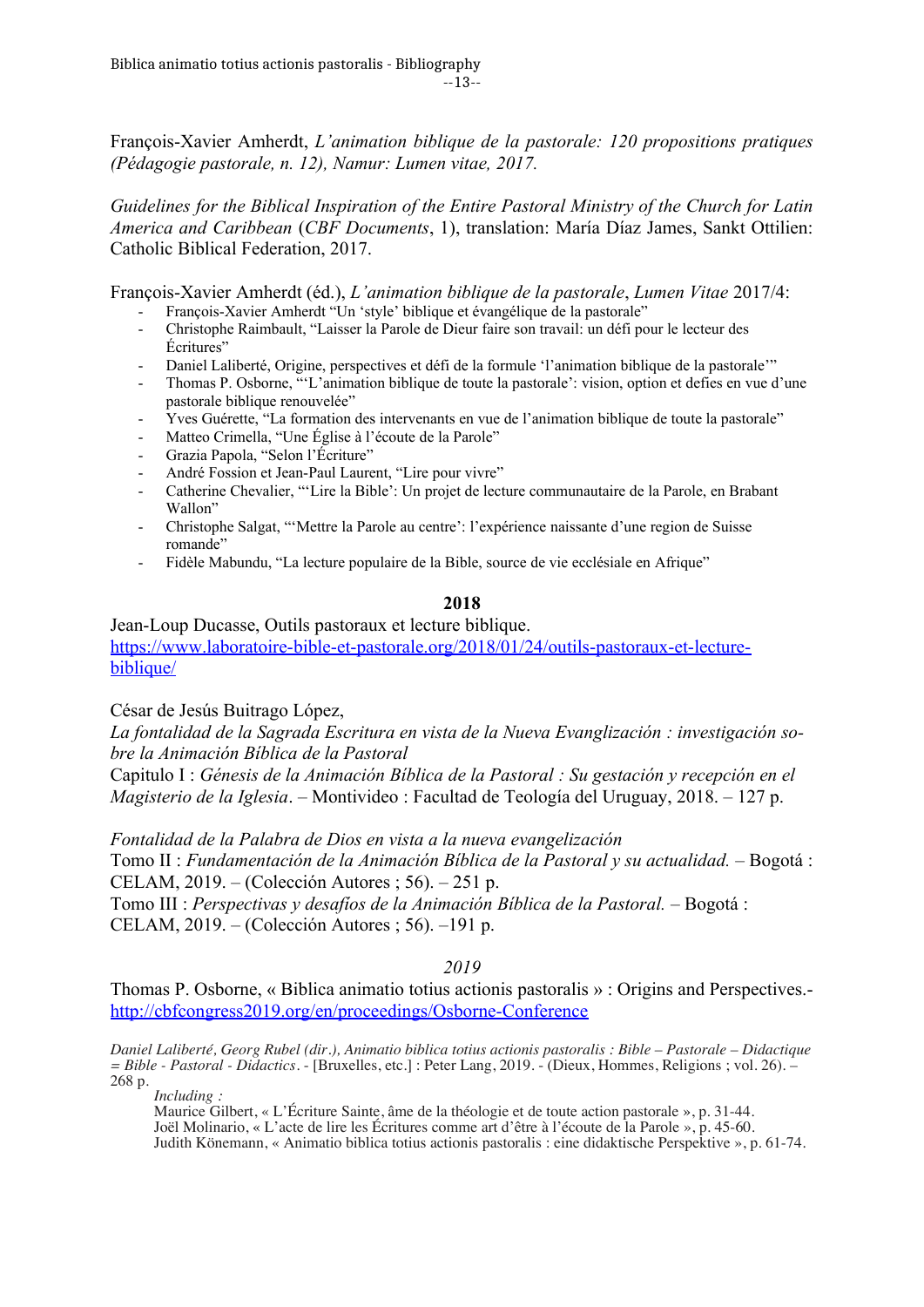François-Xavier Amherdt, *L'animation biblique de la pastorale: 120 propositions pratiques (Pédagogie pastorale, n. 12), Namur: Lumen vitae, 2017.* 

*Guidelines for the Biblical Inspiration of the Entire Pastoral Ministry of the Church for Latin America and Caribbean* (*CBF Documents*, 1), translation: María Díaz James, Sankt Ottilien: Catholic Biblical Federation, 2017.

François-Xavier Amherdt (éd.), *L'animation biblique de la pastorale*, *Lumen Vitae* 2017/4:

- François-Xavier Amherdt "Un 'style' biblique et évangélique de la pastorale"
- Christophe Raimbault, "Laisser la Parole de Dieur faire son travail: un défi pour le lecteur des Écritures"
- Daniel Laliberté, Origine, perspectives et défi de la formule 'l'animation biblique de la pastorale'"
- Thomas P. Osborne, "'L'animation biblique de toute la pastorale': vision, option et defies en vue d'une pastorale biblique renouvelée"
- Yves Guérette, "La formation des intervenants en vue de l'animation biblique de toute la pastorale"
- Matteo Crimella, "Une Église à l'écoute de la Parole"
- Grazia Papola, "Selon l'Écriture"
- André Fossion et Jean-Paul Laurent, "Lire pour vivre"
- Catherine Chevalier, "'Lire la Bible': Un projet de lecture communautaire de la Parole, en Brabant Wallon"
- Christophe Salgat, "'Mettre la Parole au centre': l'expérience naissante d'une region de Suisse romande"
- Fidèle Mabundu, "La lecture populaire de la Bible, source de vie ecclésiale en Afrique"

# **2018**

Jean-Loup Ducasse, Outils pastoraux et lecture biblique. [https://www.laboratoire-bible-et-pastorale.org/2018/01/24/outils-pastoraux-et-lecture](https://www.laboratoire-bible-et-pastorale.org/2018/01/24/outils-pastoraux-et-lecture-biblique/)[biblique/](https://www.laboratoire-bible-et-pastorale.org/2018/01/24/outils-pastoraux-et-lecture-biblique/)

César de Jesús Buitrago López,

*La fontalidad de la Sagrada Escritura en vista de la Nueva Evanglización : investigación sobre la Animación Bíblica de la Pastoral*

Capitulo I : *Génesis de la Animación Bíblica de la Pastoral : Su gestación y recepción en el Magisterio de la Iglesia*. – Montivideo : Facultad de Teología del Uruguay, 2018. – 127 p.

*Fontalidad de la Palabra de Dios en vista a la nueva evangelización*

Tomo II : *Fundamentación de la Animación Bíblica de la Pastoral y su actualidad.* – Bogotá : CELAM, 2019. – (Colección Autores ; 56). – 251 p.

Tomo III : *Perspectivas y desafíos de la Animación Bíblica de la Pastoral.* – Bogotá : CELAM, 2019. – (Colección Autores ; 56). –191 p.

# *2019*

Thomas P. Osborne, « Biblica animatio totius actionis pastoralis » : Origins and Perspectives. <http://cbfcongress2019.org/en/proceedings/Osborne-Conference>

*Daniel Laliberté, Georg Rubel (dir.), Animatio biblica totius actionis pastoralis : Bible – Pastorale – Didactique = Bible - Pastoral - Didactics*. - [Bruxelles, etc.] : Peter Lang, 2019. - (Dieux, Hommes, Religions ; vol. 26). – 268 p.

*Including :*

Maurice Gilbert, « L'Écriture Sainte, âme de la théologie et de toute action pastorale », p. 31-44. Joël Molinario, « L'acte de lire les Écritures comme art d'être à l'écoute de la Parole », p. 45-60. Judith Könemann, « Animatio biblica totius actionis pastoralis : eine didaktische Perspektive », p. 61-74.